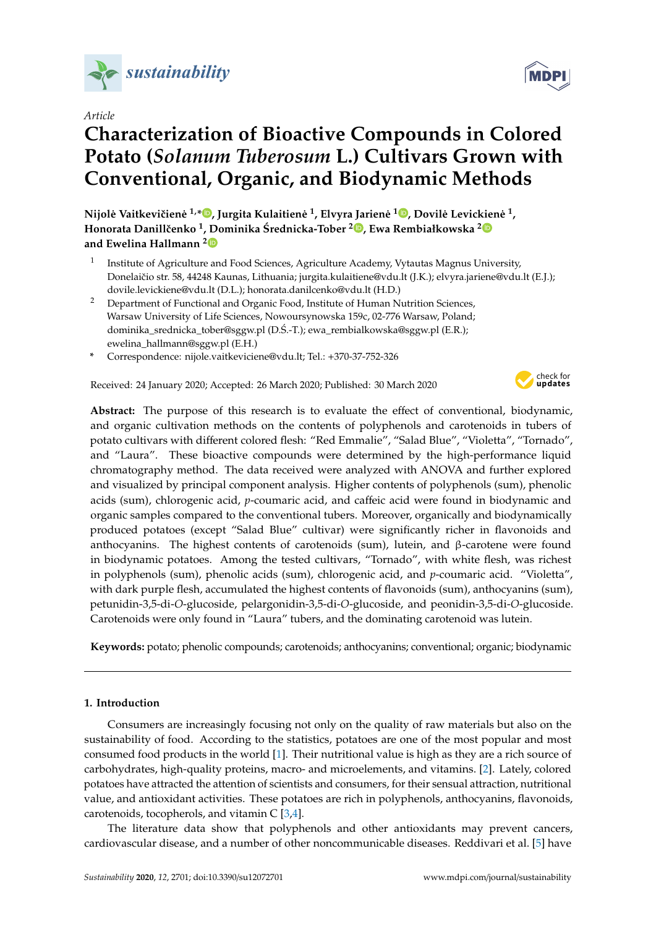

*Article*

# **Characterization of Bioactive Compounds in Colored Potato (***Solanum Tuberosum* **L.) Cultivars Grown with Conventional, Organic, and Biodynamic Methods**

 $\bf N$ ijolė Vaitkevičienė <sup>1,</sup>[\\*](https://orcid.org/0000-0003-0764-3634) $\bf \bullet$ [,](https://orcid.org/0000-0002-1827-3707) Jurgita Kulaitienė <sup>1</sup>, Elvyra Jarienė <sup>1</sup> $\bf \bullet$ , Dovilė Levickienė <sup>1</sup>, **Honorata Danillˇcenko <sup>1</sup> , Dominika Srednicka-Tober ´ <sup>2</sup> [,](https://orcid.org/0000-0002-8143-2918) Ewa Rembiałkowska [2](https://orcid.org/0000-0002-4109-5486) and Ewelina Hallmann [2](https://orcid.org/0000-0002-4855-7057)**

- 1 Institute of Agriculture and Food Sciences, Agriculture Academy, Vytautas Magnus University, Donelaičio str. 58, 44248 Kaunas, Lithuania; jurgita.kulaitiene@vdu.lt (J.K.); elvyra.jariene@vdu.lt (E.J.); dovile.levickiene@vdu.lt (D.L.); honorata.danilcenko@vdu.lt (H.D.)
- <sup>2</sup> Department of Functional and Organic Food, Institute of Human Nutrition Sciences, Warsaw University of Life Sciences, Nowoursynowska 159c, 02-776 Warsaw, Poland; dominika\_srednicka\_tober@sggw.pl (D.Ś.-T.); ewa\_rembialkowska@sggw.pl (E.R.); ewelina\_hallmann@sggw.pl (E.H.)
- **\*** Correspondence: nijole.vaitkeviciene@vdu.lt; Tel.: +370-37-752-326

Received: 24 January 2020; Accepted: 26 March 2020; Published: 30 March 2020



**Abstract:** The purpose of this research is to evaluate the effect of conventional, biodynamic, and organic cultivation methods on the contents of polyphenols and carotenoids in tubers of potato cultivars with different colored flesh: "Red Emmalie", "Salad Blue", "Violetta", "Tornado", and "Laura". These bioactive compounds were determined by the high-performance liquid chromatography method. The data received were analyzed with ANOVA and further explored and visualized by principal component analysis. Higher contents of polyphenols (sum), phenolic acids (sum), chlorogenic acid, *p*-coumaric acid, and caffeic acid were found in biodynamic and organic samples compared to the conventional tubers. Moreover, organically and biodynamically produced potatoes (except "Salad Blue" cultivar) were significantly richer in flavonoids and anthocyanins. The highest contents of carotenoids (sum), lutein, and β-carotene were found in biodynamic potatoes. Among the tested cultivars, "Tornado", with white flesh, was richest in polyphenols (sum), phenolic acids (sum), chlorogenic acid, and *p*-coumaric acid. "Violetta", with dark purple flesh, accumulated the highest contents of flavonoids (sum), anthocyanins (sum), petunidin-3,5-di-*O*-glucoside, pelargonidin-3,5-di-*O*-glucoside, and peonidin-3,5-di-*O*-glucoside. Carotenoids were only found in "Laura" tubers, and the dominating carotenoid was lutein.

**Keywords:** potato; phenolic compounds; carotenoids; anthocyanins; conventional; organic; biodynamic

#### **1. Introduction**

Consumers are increasingly focusing not only on the quality of raw materials but also on the sustainability of food. According to the statistics, potatoes are one of the most popular and most consumed food products in the world [\[1\]](#page-10-0). Their nutritional value is high as they are a rich source of carbohydrates, high-quality proteins, macro- and microelements, and vitamins. [\[2\]](#page-10-1). Lately, colored potatoes have attracted the attention of scientists and consumers, for their sensual attraction, nutritional value, and antioxidant activities. These potatoes are rich in polyphenols, anthocyanins, flavonoids, carotenoids, tocopherols, and vitamin C [\[3](#page-10-2)[,4\]](#page-10-3).

The literature data show that polyphenols and other antioxidants may prevent cancers, cardiovascular disease, and a number of other noncommunicable diseases. Reddivari et al. [\[5\]](#page-10-4) have

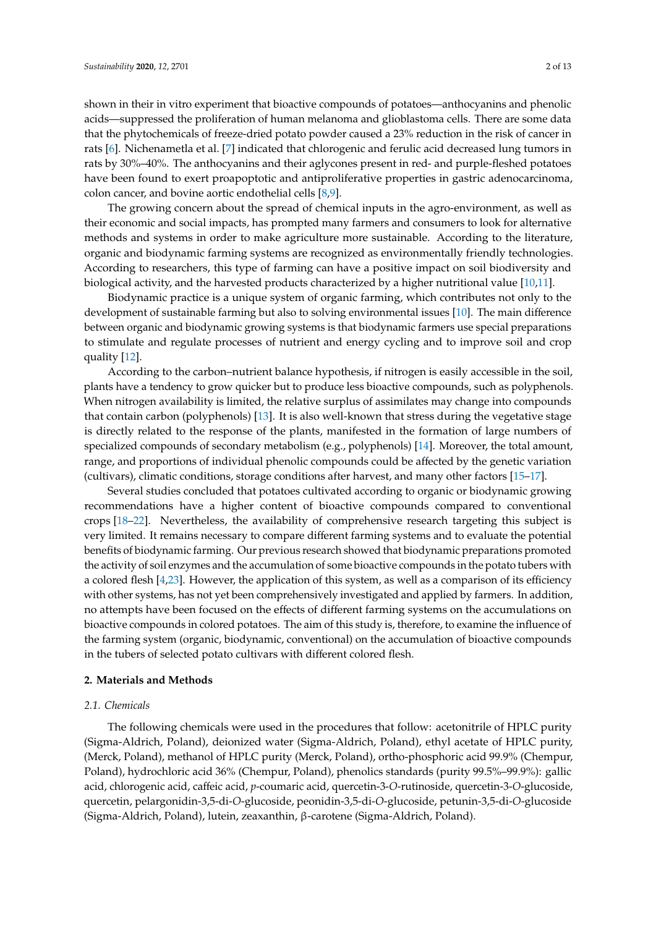shown in their in vitro experiment that bioactive compounds of potatoes—anthocyanins and phenolic acids—suppressed the proliferation of human melanoma and glioblastoma cells. There are some data that the phytochemicals of freeze-dried potato powder caused a 23% reduction in the risk of cancer in rats [\[6\]](#page-10-5). Nichenametla et al. [\[7\]](#page-10-6) indicated that chlorogenic and ferulic acid decreased lung tumors in rats by 30%–40%. The anthocyanins and their aglycones present in red- and purple-fleshed potatoes have been found to exert proapoptotic and antiproliferative properties in gastric adenocarcinoma, colon cancer, and bovine aortic endothelial cells [\[8](#page-10-7)[,9\]](#page-10-8).

The growing concern about the spread of chemical inputs in the agro-environment, as well as their economic and social impacts, has prompted many farmers and consumers to look for alternative methods and systems in order to make agriculture more sustainable. According to the literature, organic and biodynamic farming systems are recognized as environmentally friendly technologies. According to researchers, this type of farming can have a positive impact on soil biodiversity and biological activity, and the harvested products characterized by a higher nutritional value [\[10,](#page-10-9)[11\]](#page-10-10).

Biodynamic practice is a unique system of organic farming, which contributes not only to the development of sustainable farming but also to solving environmental issues [\[10\]](#page-10-9). The main difference between organic and biodynamic growing systems is that biodynamic farmers use special preparations to stimulate and regulate processes of nutrient and energy cycling and to improve soil and crop quality [\[12\]](#page-10-11).

According to the carbon–nutrient balance hypothesis, if nitrogen is easily accessible in the soil, plants have a tendency to grow quicker but to produce less bioactive compounds, such as polyphenols. When nitrogen availability is limited, the relative surplus of assimilates may change into compounds that contain carbon (polyphenols) [\[13\]](#page-10-12). It is also well-known that stress during the vegetative stage is directly related to the response of the plants, manifested in the formation of large numbers of specialized compounds of secondary metabolism (e.g., polyphenols) [\[14\]](#page-11-0). Moreover, the total amount, range, and proportions of individual phenolic compounds could be affected by the genetic variation (cultivars), climatic conditions, storage conditions after harvest, and many other factors [\[15](#page-11-1)[–17\]](#page-11-2).

Several studies concluded that potatoes cultivated according to organic or biodynamic growing recommendations have a higher content of bioactive compounds compared to conventional crops [\[18](#page-11-3)[–22\]](#page-11-4). Nevertheless, the availability of comprehensive research targeting this subject is very limited. It remains necessary to compare different farming systems and to evaluate the potential benefits of biodynamic farming. Our previous research showed that biodynamic preparations promoted the activity of soil enzymes and the accumulation of some bioactive compounds in the potato tubers with a colored flesh [\[4,](#page-10-3)[23\]](#page-11-5). However, the application of this system, as well as a comparison of its efficiency with other systems, has not yet been comprehensively investigated and applied by farmers. In addition, no attempts have been focused on the effects of different farming systems on the accumulations on bioactive compounds in colored potatoes. The aim of this study is, therefore, to examine the influence of the farming system (organic, biodynamic, conventional) on the accumulation of bioactive compounds in the tubers of selected potato cultivars with different colored flesh.

## **2. Materials and Methods**

## *2.1. Chemicals*

The following chemicals were used in the procedures that follow: acetonitrile of HPLC purity (Sigma-Aldrich, Poland), deionized water (Sigma-Aldrich, Poland), ethyl acetate of HPLC purity, (Merck, Poland), methanol of HPLC purity (Merck, Poland), ortho-phosphoric acid 99.9% (Chempur, Poland), hydrochloric acid 36% (Chempur, Poland), phenolics standards (purity 99.5%–99.9%): gallic acid, chlorogenic acid, caffeic acid, *p*-coumaric acid, quercetin-3-*O*-rutinoside, quercetin-3-*O*-glucoside, quercetin, pelargonidin-3,5-di-*O*-glucoside, peonidin-3,5-di-*O*-glucoside, petunin-3,5-di-*O*-glucoside (Sigma-Aldrich, Poland), lutein, zeaxanthin, β-carotene (Sigma-Aldrich, Poland).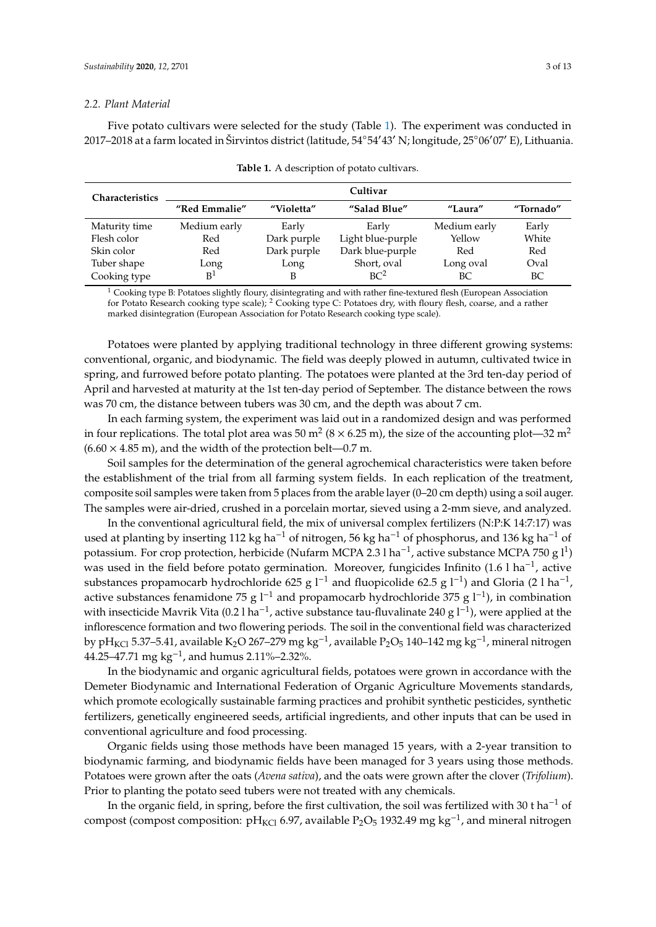#### *2.2. Plant Material*

Five potato cultivars were selected for the study (Table [1\)](#page-2-0). The experiment was conducted in 2017–2018 at a farm located in Širvintos district (latitude, 54°54'43' N; longitude, 25°06'07' E), Lithuania.

<span id="page-2-0"></span>

| <b>Characteristics</b> | Cultivar       |             |                   |              |           |  |  |
|------------------------|----------------|-------------|-------------------|--------------|-----------|--|--|
|                        | "Red Emmalie"  | "Violetta"  | "Salad Blue"      | "Laura"      | "Tornado" |  |  |
| Maturity time          | Medium early   | Early       | Early             | Medium early | Early     |  |  |
| Flesh color            | Red            | Dark purple | Light blue-purple | Yellow       | White     |  |  |
| Skin color             | Red            | Dark purple | Dark blue-purple  | Red          | Red       |  |  |
| Tuber shape            | Long           | Long        | Short, oval       | Long oval    | Oval      |  |  |
| Cooking type           | B <sup>1</sup> | В           | BC <sup>2</sup>   | BС           | BC        |  |  |

| <b>Table 1.</b> A description of potato cultivars. |  |
|----------------------------------------------------|--|
|----------------------------------------------------|--|

 $1$  Cooking type B: Potatoes slightly floury, disintegrating and with rather fine-textured flesh (European Association for Potato Research cooking type scale); <sup>2</sup> Cooking type C: Potatoes dry, with floury flesh, coarse, and a rather marked disintegration (European Association for Potato Research cooking type scale).

Potatoes were planted by applying traditional technology in three different growing systems: conventional, organic, and biodynamic. The field was deeply plowed in autumn, cultivated twice in spring, and furrowed before potato planting. The potatoes were planted at the 3rd ten-day period of April and harvested at maturity at the 1st ten-day period of September. The distance between the rows was 70 cm, the distance between tubers was 30 cm, and the depth was about 7 cm.

In each farming system, the experiment was laid out in a randomized design and was performed in four replications. The total plot area was 50 m<sup>2</sup> (8  $\times$  6.25 m), the size of the accounting plot—32 m<sup>2</sup>  $(6.60 \times 4.85 \text{ m})$ , and the width of the protection belt—0.7 m.

Soil samples for the determination of the general agrochemical characteristics were taken before the establishment of the trial from all farming system fields. In each replication of the treatment, composite soil samples were taken from 5 places from the arable layer (0–20 cm depth) using a soil auger. The samples were air-dried, crushed in a porcelain mortar, sieved using a 2-mm sieve, and analyzed.

In the conventional agricultural field, the mix of universal complex fertilizers (N:P:K 14:7:17) was used at planting by inserting 112 kg ha<sup>-1</sup> of nitrogen, 56 kg ha<sup>-1</sup> of phosphorus, and 136 kg ha<sup>-1</sup> of potassium. For crop protection, herbicide (Nufarm MCPA 2.3 l ha<sup>-1</sup>, active substance MCPA 750 g l<sup>1</sup>) was used in the field before potato germination. Moreover, fungicides Infinito (1.6 l ha−<sup>1</sup> , active substances propamocarb hydrochloride 625 g l<sup>-1</sup> and fluopicolide 62.5 g l<sup>-1</sup>) and Gloria (2 l ha<sup>-1</sup>, active substances fenamidone 75 g  $l^{-1}$  and propamocarb hydrochloride 375 g  $l^{-1}$ ), in combination with insecticide Mavrik Vita (0.2 l ha<sup>-1</sup>, active substance tau-fluvalinate 240 g l<sup>-1</sup>), were applied at the inflorescence formation and two flowering periods. The soil in the conventional field was characterized by pH<sub>KCl</sub> 5.37–5.41, available K<sub>2</sub>O 267–279 mg kg<sup>−1</sup>, available P<sub>2</sub>O<sub>5</sub> 140–142 mg kg<sup>−1</sup>, mineral nitrogen  $44.25 - 47.71$  mg kg<sup>-1</sup>, and humus 2.11%–2.32%.

In the biodynamic and organic agricultural fields, potatoes were grown in accordance with the Demeter Biodynamic and International Federation of Organic Agriculture Movements standards, which promote ecologically sustainable farming practices and prohibit synthetic pesticides, synthetic fertilizers, genetically engineered seeds, artificial ingredients, and other inputs that can be used in conventional agriculture and food processing.

Organic fields using those methods have been managed 15 years, with a 2-year transition to biodynamic farming, and biodynamic fields have been managed for 3 years using those methods. Potatoes were grown after the oats (*Avena sativa*), and the oats were grown after the clover (*Trifolium*). Prior to planting the potato seed tubers were not treated with any chemicals.

In the organic field, in spring, before the first cultivation, the soil was fertilized with 30 t ha<sup>-1</sup> of compost (compost composition: pH<sub>KCl</sub> 6.97, available P<sub>2</sub>O<sub>5</sub> 1932.49 mg kg<sup>-1</sup>, and mineral nitrogen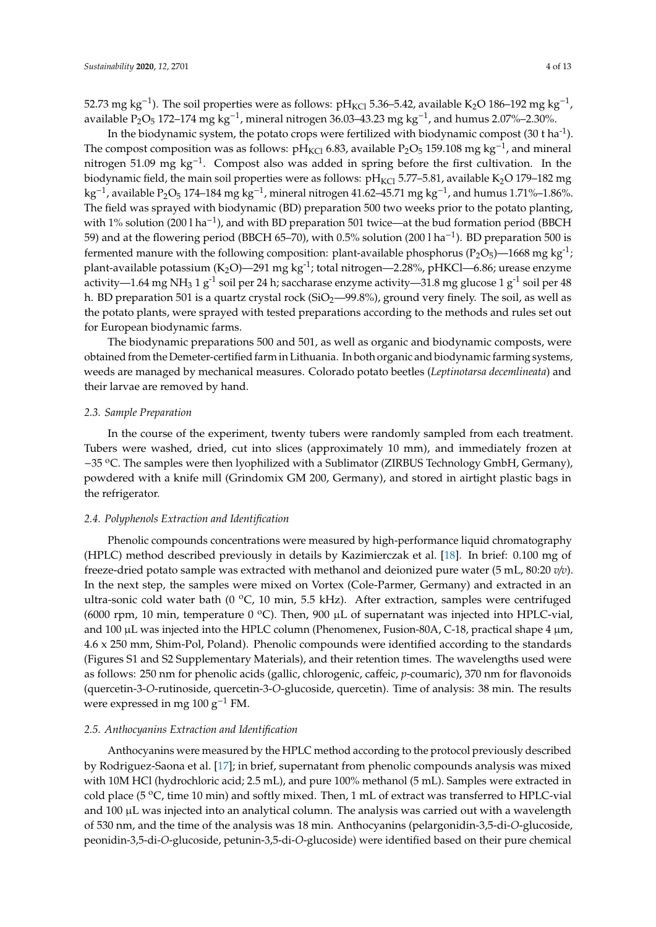52.73 mg kg<sup>−1</sup>). The soil properties were as follows: pH<sub>KCl</sub> 5.36–5.42, available K<sub>2</sub>O 186–192 mg kg<sup>−1</sup>, available P<sub>2</sub>O<sub>5</sub> 172–174 mg kg<sup>-1</sup>, mineral nitrogen 36.03–43.23 mg kg<sup>-1</sup>, and humus 2.07%–2.30%.

In the biodynamic system, the potato crops were fertilized with biodynamic compost  $(30 \text{ t ha}^{-1})$ . The compost composition was as follows: pH<sub>KCl</sub> 6.83, available P<sub>2</sub>O<sub>5</sub> 159.108 mg kg<sup>-1</sup>, and mineral nitrogen 51.09 mg kg<sup>-1</sup>. Compost also was added in spring before the first cultivation. In the biodynamic field, the main soil properties were as follows:  $pH_{\text{KCl}}$  5.77–5.81, available K<sub>2</sub>O 179–182 mg kg<sup>-1</sup>, available P<sub>2</sub>O<sub>5</sub> 174–184 mg kg<sup>-1</sup>, mineral nitrogen 41.62–45.71 mg kg<sup>-1</sup>, and humus 1.71%–1.86%. The field was sprayed with biodynamic (BD) preparation 500 two weeks prior to the potato planting, with 1% solution (200 l ha<sup>-1</sup>), and with BD preparation 501 twice—at the bud formation period (BBCH 59) and at the flowering period (BBCH 65–70), with 0.5% solution (200 l ha−<sup>1</sup> ). BD preparation 500 is fermented manure with the following composition: plant-available phosphorus ( $P_2O_5$ )—1668 mg kg<sup>-1</sup>; plant-available potassium  $(K_2O)$ —291 mg kg<sup>-1</sup>; total nitrogen—2.28%, pHKCl—6.86; urease enzyme activity—1.64 mg NH<sub>3</sub> 1 g<sup>-1</sup> soil per 24 h; saccharase enzyme activity—31.8 mg glucose 1 g<sup>-1</sup> soil per 48 h. BD preparation 501 is a quartz crystal rock ( $SiO<sub>2</sub>$ —99.8%), ground very finely. The soil, as well as the potato plants, were sprayed with tested preparations according to the methods and rules set out for European biodynamic farms.

The biodynamic preparations 500 and 501, as well as organic and biodynamic composts, were obtained from the Demeter-certified farm in Lithuania. In both organic and biodynamic farming systems, weeds are managed by mechanical measures. Colorado potato beetles (*Leptinotarsa decemlineata*) and their larvae are removed by hand.

#### *2.3. Sample Preparation*

In the course of the experiment, twenty tubers were randomly sampled from each treatment. Tubers were washed, dried, cut into slices (approximately 10 mm), and immediately frozen at −35 <sup>o</sup>C. The samples were then lyophilized with a Sublimator (ZIRBUS Technology GmbH, Germany), powdered with a knife mill (Grindomix GM 200, Germany), and stored in airtight plastic bags in the refrigerator.

### *2.4. Polyphenols Extraction and Identification*

Phenolic compounds concentrations were measured by high-performance liquid chromatography (HPLC) method described previously in details by Kazimierczak et al. [\[18\]](#page-11-3). In brief: 0.100 mg of freeze-dried potato sample was extracted with methanol and deionized pure water (5 mL, 80:20 *v*/*v*). In the next step, the samples were mixed on Vortex (Cole-Parmer, Germany) and extracted in an ultra-sonic cold water bath (0 °C, 10 min, 5.5 kHz). After extraction, samples were centrifuged (6000 rpm, 10 min, temperature 0 °C). Then, 900  $\mu$ L of supernatant was injected into HPLC-vial, and 100  $\mu$ L was injected into the HPLC column (Phenomenex, Fusion-80A, C-18, practical shape 4  $\mu$ m, 4.6 x 250 mm, Shim-Pol, Poland). Phenolic compounds were identified according to the standards (Figures S1 and S2 Supplementary Materials), and their retention times. The wavelengths used were as follows: 250 nm for phenolic acids (gallic, chlorogenic, caffeic, *p*-coumaric), 370 nm for flavonoids (quercetin-3-*O*-rutinoside, quercetin-3-*O*-glucoside, quercetin). Time of analysis: 38 min. The results were expressed in mg 100 g−<sup>1</sup> FM.

#### *2.5. Anthocyanins Extraction and Identification*

Anthocyanins were measured by the HPLC method according to the protocol previously described by Rodriguez-Saona et al. [\[17\]](#page-11-2); in brief, supernatant from phenolic compounds analysis was mixed with 10M HCl (hydrochloric acid; 2.5 mL), and pure 100% methanol (5 mL). Samples were extracted in cold place (5  $\rm{^{\circ}C}$ , time 10 min) and softly mixed. Then, 1 mL of extract was transferred to HPLC-vial and 100 µL was injected into an analytical column. The analysis was carried out with a wavelength of 530 nm, and the time of the analysis was 18 min. Anthocyanins (pelargonidin-3,5-di-*O*-glucoside, peonidin-3,5-di-*O*-glucoside, petunin-3,5-di-*O*-glucoside) were identified based on their pure chemical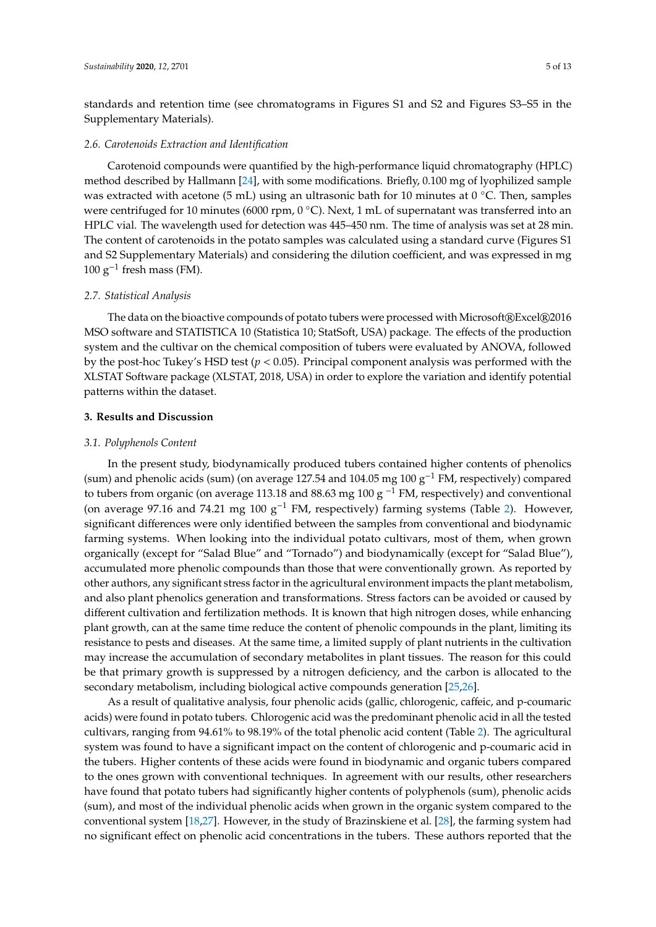standards and retention time (see chromatograms in Figures S1 and S2 and Figures S3–S5 in the Supplementary Materials).

# *2.6. Carotenoids Extraction and Identification*

Carotenoid compounds were quantified by the high-performance liquid chromatography (HPLC) method described by Hallmann [\[24\]](#page-11-6), with some modifications. Briefly, 0.100 mg of lyophilized sample was extracted with acetone (5 mL) using an ultrasonic bath for 10 minutes at 0 °C. Then, samples were centrifuged for 10 minutes (6000 rpm, 0 °C). Next, 1 mL of supernatant was transferred into an HPLC vial. The wavelength used for detection was 445–450 nm. The time of analysis was set at 28 min. The content of carotenoids in the potato samples was calculated using a standard curve (Figures S1 and S2 Supplementary Materials) and considering the dilution coefficient, and was expressed in mg  $100 \text{ g}^{-1}$  fresh mass (FM).

## *2.7. Statistical Analysis*

The data on the bioactive compounds of potato tubers were processed with Microsoft®Excel®2016 MSO software and STATISTICA 10 (Statistica 10; StatSoft, USA) package. The effects of the production system and the cultivar on the chemical composition of tubers were evaluated by ANOVA, followed by the post-hoc Tukey's HSD test (*p* < 0.05). Principal component analysis was performed with the XLSTAT Software package (XLSTAT, 2018, USA) in order to explore the variation and identify potential patterns within the dataset.

## **3. Results and Discussion**

## *3.1. Polyphenols Content*

In the present study, biodynamically produced tubers contained higher contents of phenolics (sum) and phenolic acids (sum) (on average 127.54 and 104.05 mg 100 g−<sup>1</sup> FM, respectively) compared to tubers from organic (on average 113.18 and 88.63 mg 100 g<sup>-1</sup> FM, respectively) and conventional (on average 97.16 and 74.21 mg 100 g−<sup>1</sup> FM, respectively) farming systems (Table [2\)](#page-5-0). However, significant differences were only identified between the samples from conventional and biodynamic farming systems. When looking into the individual potato cultivars, most of them, when grown organically (except for "Salad Blue" and "Tornado") and biodynamically (except for "Salad Blue"), accumulated more phenolic compounds than those that were conventionally grown. As reported by other authors, any significant stress factor in the agricultural environment impacts the plant metabolism, and also plant phenolics generation and transformations. Stress factors can be avoided or caused by different cultivation and fertilization methods. It is known that high nitrogen doses, while enhancing plant growth, can at the same time reduce the content of phenolic compounds in the plant, limiting its resistance to pests and diseases. At the same time, a limited supply of plant nutrients in the cultivation may increase the accumulation of secondary metabolites in plant tissues. The reason for this could be that primary growth is suppressed by a nitrogen deficiency, and the carbon is allocated to the secondary metabolism, including biological active compounds generation [\[25,](#page-11-7)[26\]](#page-11-8).

As a result of qualitative analysis, four phenolic acids (gallic, chlorogenic, caffeic, and p-coumaric acids) were found in potato tubers. Chlorogenic acid was the predominant phenolic acid in all the tested cultivars, ranging from 94.61% to 98.19% of the total phenolic acid content (Table [2\)](#page-5-0). The agricultural system was found to have a significant impact on the content of chlorogenic and p-coumaric acid in the tubers. Higher contents of these acids were found in biodynamic and organic tubers compared to the ones grown with conventional techniques. In agreement with our results, other researchers have found that potato tubers had significantly higher contents of polyphenols (sum), phenolic acids (sum), and most of the individual phenolic acids when grown in the organic system compared to the conventional system [\[18](#page-11-3)[,27\]](#page-11-9). However, in the study of Brazinskiene et al. [\[28\]](#page-11-10), the farming system had no significant effect on phenolic acid concentrations in the tubers. These authors reported that the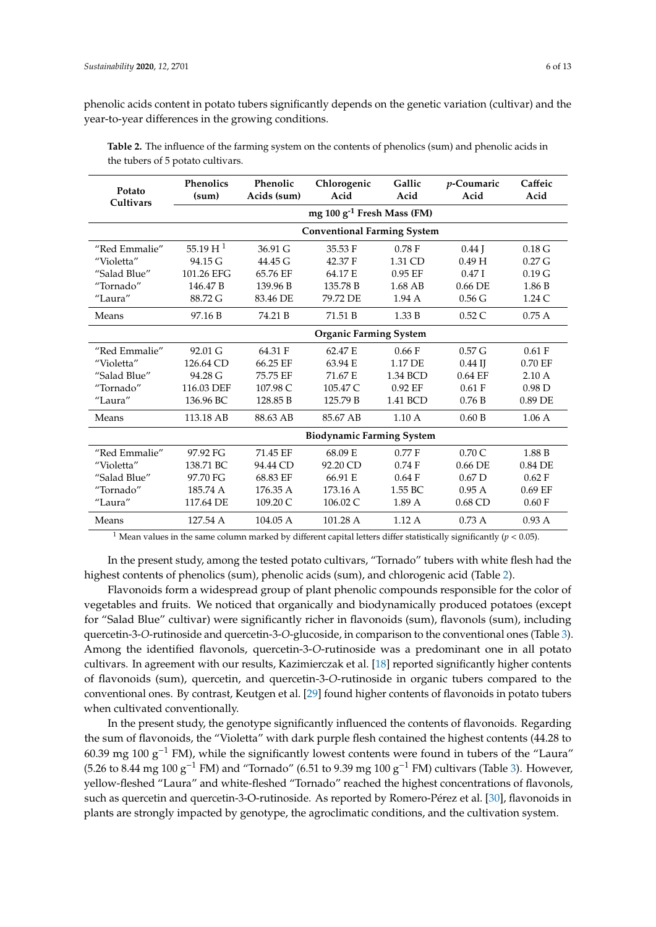phenolic acids content in potato tubers significantly depends on the genetic variation (cultivar) and the year-to-year differences in the growing conditions.

| Potato<br>Cultivars | <b>Phenolics</b><br>(sum)          | Phenolic<br>Acids (sum)                | Chlorogenic<br>Acid | Gallic<br>Acid | <i>p</i> -Coumaric<br>Acid | Caffeic<br>Acid   |  |  |
|---------------------|------------------------------------|----------------------------------------|---------------------|----------------|----------------------------|-------------------|--|--|
|                     |                                    | mg 100 g <sup>-1</sup> Fresh Mass (FM) |                     |                |                            |                   |  |  |
|                     | <b>Conventional Farming System</b> |                                        |                     |                |                            |                   |  |  |
| "Red Emmalie"       | 55.19 H <sup>1</sup>               | $36.91 \text{ G}$                      | 35.53 F             | 0.78F          | $0.44$ J                   | $0.18\text{ G}$   |  |  |
| "Violetta"          | $94.15 \text{ G}$                  | $44.45 \text{ G}$                      | 42.37 F             | 1.31 CD        | 0.49H                      | $0.27$ G          |  |  |
| "Salad Blue"        | 101.26 EFG                         | 65.76 EF                               | 64.17 E             | $0.95$ EF      | 0.47I                      | 0.19 <sub>G</sub> |  |  |
| "Tornado"           | 146.47 <sub>B</sub>                | 139.96 B                               | 135.78 B            | 1.68 AB        | $0.66$ DE                  | 1.86 B            |  |  |
| "Laura"             | 88.72 G                            | 83.46 DE                               | 79.72 DE            | 1.94A          | 0.56 G                     | 1.24C             |  |  |
| Means               | 97.16 B                            | 74.21 B                                | 71.51 B             | 1.33 B         | 0.52C                      | 0.75A             |  |  |
|                     | <b>Organic Farming System</b>      |                                        |                     |                |                            |                   |  |  |
| "Red Emmalie"       | 92.01 G                            | 64.31 F                                | 62.47 E             | 0.66 F         | 0.57 <sub>G</sub>          | 0.61 F            |  |  |
| "Violetta"          | 126.64 CD                          | 66.25 EF                               | 63.94 E             | 1.17 DE        | $0.44$ IJ                  | 0.70 EF           |  |  |
| "Salad Blue"        | 94.28 G                            | 75.75 EF                               | 71.67 E             | 1.34 BCD       | $0.64$ EF                  | $2.10\text{ A}$   |  |  |
| "Tornado"           | 116.03 DEF                         | 107.98 C                               | 105.47 C            | $0.92$ EF      | 0.61 F                     | 0.98 <sub>D</sub> |  |  |
| "Laura"             | 136.96 BC                          | 128.85 B                               | 125.79 B            | 1.41 BCD       | 0.76B                      | 0.89 DE           |  |  |
| Means               | 113.18 AB                          | 88.63 AB                               | 85.67 AB            | 1.10A          | 0.60 B                     | 1.06A             |  |  |
|                     | <b>Biodynamic Farming System</b>   |                                        |                     |                |                            |                   |  |  |
| "Red Emmalie"       | 97.92 FG                           | 71.45 EF                               | 68.09 E             | 0.77 F         | 0.70C                      | 1.88 B            |  |  |
| "Violetta"          | 138.71 BC                          | 94.44 CD                               | 92.20 CD            | 0.74F          | $0.66$ DE                  | 0.84 DE           |  |  |
| "Salad Blue"        | 97.70 FG                           | 68.83 EF                               | 66.91 E             | 0.64 F         | 0.67 <sub>D</sub>          | 0.62 F            |  |  |
| "Tornado"           | 185.74 A                           | 176.35 A                               | 173.16 A            | 1.55 BC        | 0.95A                      | $0.69$ EF         |  |  |
| "Laura"             | 117.64 DE                          | 109.20 C                               | 106.02 C            | 1.89A          | $0.68$ CD                  | 0.60 F            |  |  |
| Means               | 127.54 A                           | 104.05A                                | 101.28 A            | 1.12A          | 0.73A                      | 0.93A             |  |  |

<span id="page-5-0"></span>**Table 2.** The influence of the farming system on the contents of phenolics (sum) and phenolic acids in the tubers of 5 potato cultivars.

<sup>1</sup> Mean values in the same column marked by different capital letters differ statistically significantly ( $p < 0.05$ ).

In the present study, among the tested potato cultivars, "Tornado" tubers with white flesh had the highest contents of phenolics (sum), phenolic acids (sum), and chlorogenic acid (Table [2\)](#page-5-0).

Flavonoids form a widespread group of plant phenolic compounds responsible for the color of vegetables and fruits. We noticed that organically and biodynamically produced potatoes (except for "Salad Blue" cultivar) were significantly richer in flavonoids (sum), flavonols (sum), including quercetin-3-*O*-rutinoside and quercetin-3-*O*-glucoside, in comparison to the conventional ones (Table [3\)](#page-6-0). Among the identified flavonols, quercetin-3-*O*-rutinoside was a predominant one in all potato cultivars. In agreement with our results, Kazimierczak et al. [\[18\]](#page-11-3) reported significantly higher contents of flavonoids (sum), quercetin, and quercetin-3-*O*-rutinoside in organic tubers compared to the conventional ones. By contrast, Keutgen et al. [\[29\]](#page-11-11) found higher contents of flavonoids in potato tubers when cultivated conventionally.

In the present study, the genotype significantly influenced the contents of flavonoids. Regarding the sum of flavonoids, the "Violetta" with dark purple flesh contained the highest contents (44.28 to 60.39 mg 100 g−<sup>1</sup> FM), while the significantly lowest contents were found in tubers of the "Laura" (5.26 to 8.44 mg 100 g<sup>-1</sup> FM) and "Tornado" (6.51 to 9.39 mg 100 g<sup>-1</sup> FM) cultivars (Table [3\)](#page-6-0). However, yellow-fleshed "Laura" and white-fleshed "Tornado" reached the highest concentrations of flavonols, such as quercetin and quercetin-3-O-rutinoside. As reported by Romero-Pérez et al. [\[30\]](#page-11-12), flavonoids in plants are strongly impacted by genotype, the agroclimatic conditions, and the cultivation system.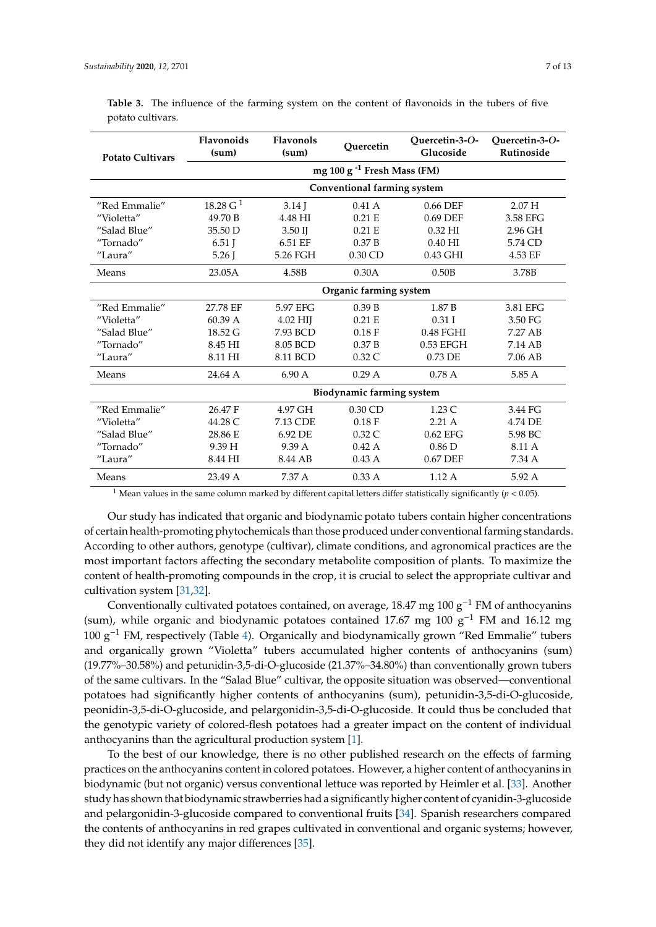| <b>Potato Cultivars</b> | <b>Flavonoids</b><br>(sum)             | <b>Flavonols</b><br>(sum) | Ouercetin | Ouercetin-3-O-<br>Glucoside | Ouercetin-3-O-<br>Rutinoside |  |  |
|-------------------------|----------------------------------------|---------------------------|-----------|-----------------------------|------------------------------|--|--|
|                         | mg 100 g <sup>-1</sup> Fresh Mass (FM) |                           |           |                             |                              |  |  |
|                         | <b>Conventional farming system</b>     |                           |           |                             |                              |  |  |
| "Red Emmalie"           | 18.28 G <sup>1</sup>                   | $3.14$ J                  | 0.41A     | 0.66 DEF                    | 2.07 <sub>H</sub>            |  |  |
| "Violetta"              | 49.70 B                                | 4.48 HI                   | 0.21 E    | 0.69 DEF                    | 3.58 EFG                     |  |  |
| "Salad Blue"            | 35.50 D                                | $3.50$ II                 | 0.21 E    | 0.32 HI                     | 2.96 GH                      |  |  |
| "Tornado"               | $6.51$ J                               | 6.51 EF                   | 0.37 B    | $0.40$ HI                   | 5.74 CD                      |  |  |
| "Laura"                 | $5.26$ I                               | 5.26 FGH                  | $0.30$ CD | 0.43 GHI                    | 4.53 EF                      |  |  |
| Means                   | 23.05A                                 | 4.58B                     | 0.30A     | 0.50B                       | 3.78B                        |  |  |
|                         | Organic farming system                 |                           |           |                             |                              |  |  |
| "Red Emmalie"           | 27.78 EF                               | 5.97 EFG                  | 0.39 B    | 1.87 B                      | 3.81 EFG                     |  |  |
| "Violetta"              | 60.39A                                 | 4.02 HII                  | 0.21 E    | $0.31$ I                    | 3.50 FG                      |  |  |
| "Salad Blue"            | 18.52 G                                | 7.93 BCD                  | 0.18 F    | $0.48$ FGHI                 | 7.27 AB                      |  |  |
| "Tornado"               | 8.45 HI                                | 8.05 BCD                  | 0.37B     | $0.53$ EFGH                 | 7.14 AB                      |  |  |
| "Laura"                 | 8.11 HI                                | 8.11 BCD                  | 0.32C     | 0.73 DE                     | 7.06 AB                      |  |  |
| Means                   | 24.64 A                                | 6.90A                     | 0.29A     | 0.78A                       | 5.85 A                       |  |  |
|                         | <b>Biodynamic farming system</b>       |                           |           |                             |                              |  |  |
| "Red Emmalie"           | 26.47 F                                | 4.97 GH                   | $0.30$ CD | 1.23C                       | 3.44 FG                      |  |  |
| "Violetta"              | 44.28 C                                | 7.13 CDE                  | 0.18 F    | 2.21A                       | 4.74 DE                      |  |  |
| "Salad Blue"            | 28.86 E                                | 6.92 DE                   | 0.32C     | $0.62$ EFG                  | 5.98 BC                      |  |  |
| "Tornado"               | 9.39 H                                 | 9.39 A                    | 0.42A     | 0.86 <sub>D</sub>           | 8.11 A                       |  |  |
| "Laura"                 | 8.44 HI                                | 8.44 AB                   | 0.43A     | 0.67 DEF                    | 7.34 A                       |  |  |
| Means                   | 23.49 A                                | 7.37 A                    | 0.33A     | 1.12A                       | 5.92 A                       |  |  |

<span id="page-6-0"></span>Table 3. The influence of the farming system on the content of flavonoids in the tubers of five potato cultivars.

<sup>1</sup> Mean values in the same column marked by different capital letters differ statistically significantly ( $p < 0.05$ ).

Our study has indicated that organic and biodynamic potato tubers contain higher concentrations of certain health-promoting phytochemicals than those produced under conventional farming standards. According to other authors, genotype (cultivar), climate conditions, and agronomical practices are the most important factors affecting the secondary metabolite composition of plants. To maximize the content of health-promoting compounds in the crop, it is crucial to select the appropriate cultivar and cultivation system [\[31,](#page-11-13)[32\]](#page-11-14).

Conventionally cultivated potatoes contained, on average, 18.47 mg 100 g−<sup>1</sup> FM of anthocyanins (sum), while organic and biodynamic potatoes contained 17.67 mg 100  $g^{-1}$  FM and 16.12 mg 100 g−<sup>1</sup> FM, respectively (Table [4\)](#page-7-0). Organically and biodynamically grown "Red Emmalie" tubers and organically grown "Violetta" tubers accumulated higher contents of anthocyanins (sum) (19.77%–30.58%) and petunidin-3,5-di-O-glucoside (21.37%–34.80%) than conventionally grown tubers of the same cultivars. In the "Salad Blue" cultivar, the opposite situation was observed—conventional potatoes had significantly higher contents of anthocyanins (sum), petunidin-3,5-di-O-glucoside, peonidin-3,5-di-O-glucoside, and pelargonidin-3,5-di-O-glucoside. It could thus be concluded that the genotypic variety of colored-flesh potatoes had a greater impact on the content of individual anthocyanins than the agricultural production system [\[1\]](#page-10-0).

To the best of our knowledge, there is no other published research on the effects of farming practices on the anthocyanins content in colored potatoes. However, a higher content of anthocyanins in biodynamic (but not organic) versus conventional lettuce was reported by Heimler et al. [\[33\]](#page-11-15). Another study has shown that biodynamic strawberries had a significantly higher content of cyanidin-3-glucoside and pelargonidin-3-glucoside compared to conventional fruits [\[34\]](#page-12-0). Spanish researchers compared the contents of anthocyanins in red grapes cultivated in conventional and organic systems; however, they did not identify any major differences [\[35\]](#page-12-1).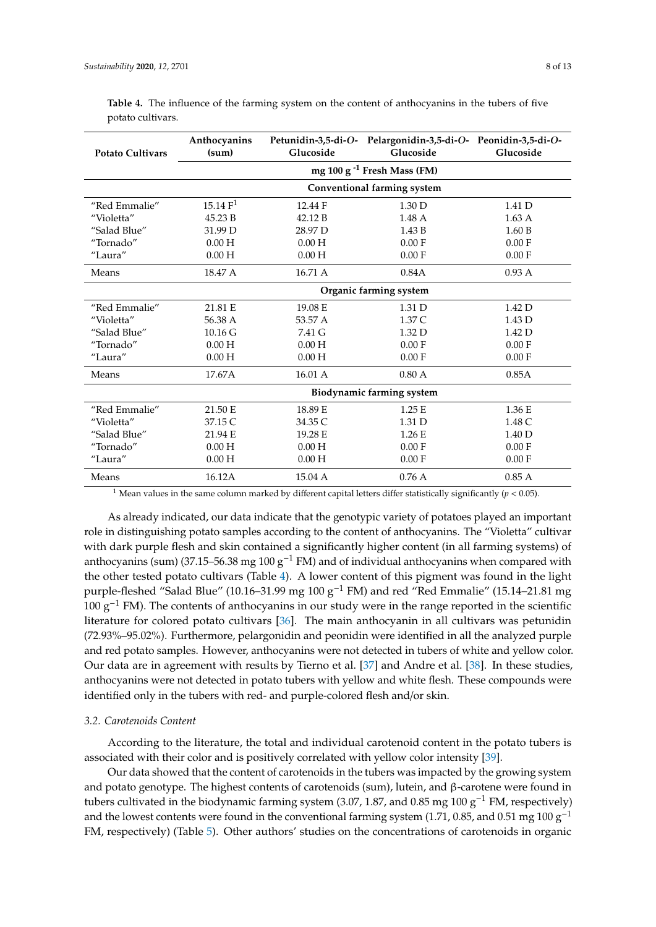| <b>Potato Cultivars</b> | Anthocyanins<br>(sum)       | Glucoside | Petunidin-3,5-di-O- Pelargonidin-3,5-di-O- Peonidin-3,5-di-O-<br>Glucoside | Glucoside         |  |  |
|-------------------------|-----------------------------|-----------|----------------------------------------------------------------------------|-------------------|--|--|
|                         |                             |           |                                                                            |                   |  |  |
|                         | Conventional farming system |           |                                                                            |                   |  |  |
| "Red Emmalie"           | 15.14 F <sup>1</sup>        | 12.44 F   | 1.30 <sub>D</sub>                                                          | 1.41 D            |  |  |
| "Violetta"              | 45.23 B                     | 42.12 B   | 1.48A                                                                      | $1.63 \text{ A}$  |  |  |
| "Salad Blue"            | 31.99 D                     | 28.97 D   | 1.43 B                                                                     | 1.60 B            |  |  |
| "Tornado"               | 0.00H                       | 0.00H     | 0.00 F                                                                     | 0.00 F            |  |  |
| "Laura"                 | 0.00H                       | 0.00H     | 0.00 F                                                                     | 0.00 F            |  |  |
| Means                   | 18.47 A                     | 16.71 A   | 0.84A                                                                      | 0.93A             |  |  |
|                         | Organic farming system      |           |                                                                            |                   |  |  |
| "Red Emmalie"           | 21.81 E                     | 19.08 E   | 1.31 D                                                                     | 1.42 <sub>D</sub> |  |  |
| "Violetta"              | 56.38 A                     | 53.57 A   | 1.37 C                                                                     | 1.43 D            |  |  |
| "Salad Blue"            | $10.16 \text{ G}$           | 7.41 G    | 1.32 D                                                                     | 1.42 D            |  |  |
| "Tornado"               | 0.00H                       | 0.00H     | 0.00 F                                                                     | 0.00 F            |  |  |
| "Laura"                 | 0.00H                       | 0.00H     | 0.00 F                                                                     | 0.00 F            |  |  |
| Means                   | 17.67A                      | 16.01 A   | 0.80A                                                                      | 0.85A             |  |  |
|                         | Biodynamic farming system   |           |                                                                            |                   |  |  |
| "Red Emmalie"           | 21.50 E                     | 18.89 E   | 1.25 E                                                                     | 1.36 E            |  |  |
| "Violetta"              | 37.15 C                     | 34.35 C   | 1.31 D                                                                     | 1.48 C            |  |  |
| "Salad Blue"            | 21.94 E                     | 19.28 E   | 1.26 E                                                                     | 1.40 D            |  |  |
| "Tornado"               | 0.00H                       | 0.00H     | 0.00 F                                                                     | 0.00 F            |  |  |
| "Laura"                 | 0.00H                       | 0.00H     | 0.00 F                                                                     | 0.00 F            |  |  |
| Means                   | 16.12A                      | 15.04 A   | 0.76A                                                                      | 0.85A             |  |  |

<span id="page-7-0"></span>**Table 4.** The influence of the farming system on the content of anthocyanins in the tubers of five potato cultivars.

<sup>1</sup> Mean values in the same column marked by different capital letters differ statistically significantly ( $p < 0.05$ ).

As already indicated, our data indicate that the genotypic variety of potatoes played an important role in distinguishing potato samples according to the content of anthocyanins. The "Violetta" cultivar with dark purple flesh and skin contained a significantly higher content (in all farming systems) of anthocyanins (sum) (37.15–56.38 mg 100  $g^{-1}$  FM) and of individual anthocyanins when compared with the other tested potato cultivars (Table [4\)](#page-7-0). A lower content of this pigment was found in the light purple-fleshed "Salad Blue" (10.16–31.99 mg 100 g−<sup>1</sup> FM) and red "Red Emmalie" (15.14–21.81 mg  $100 \text{ g}^{-1}$  FM). The contents of anthocyanins in our study were in the range reported in the scientific literature for colored potato cultivars [\[36\]](#page-12-2). The main anthocyanin in all cultivars was petunidin (72.93%–95.02%). Furthermore, pelargonidin and peonidin were identified in all the analyzed purple and red potato samples. However, anthocyanins were not detected in tubers of white and yellow color. Our data are in agreement with results by Tierno et al. [\[37\]](#page-12-3) and Andre et al. [\[38\]](#page-12-4). In these studies, anthocyanins were not detected in potato tubers with yellow and white flesh. These compounds were identified only in the tubers with red- and purple-colored flesh and/or skin.

# *3.2. Carotenoids Content*

According to the literature, the total and individual carotenoid content in the potato tubers is associated with their color and is positively correlated with yellow color intensity [\[39\]](#page-12-5).

Our data showed that the content of carotenoids in the tubers was impacted by the growing system and potato genotype. The highest contents of carotenoids (sum), lutein, and β-carotene were found in tubers cultivated in the biodynamic farming system (3.07, 1.87, and 0.85 mg 100  $g^{-1}$  FM, respectively) and the lowest contents were found in the conventional farming system (1.71, 0.85, and 0.51 mg 100  $g^{-1}$ ) FM, respectively) (Table [5\)](#page-8-0). Other authors' studies on the concentrations of carotenoids in organic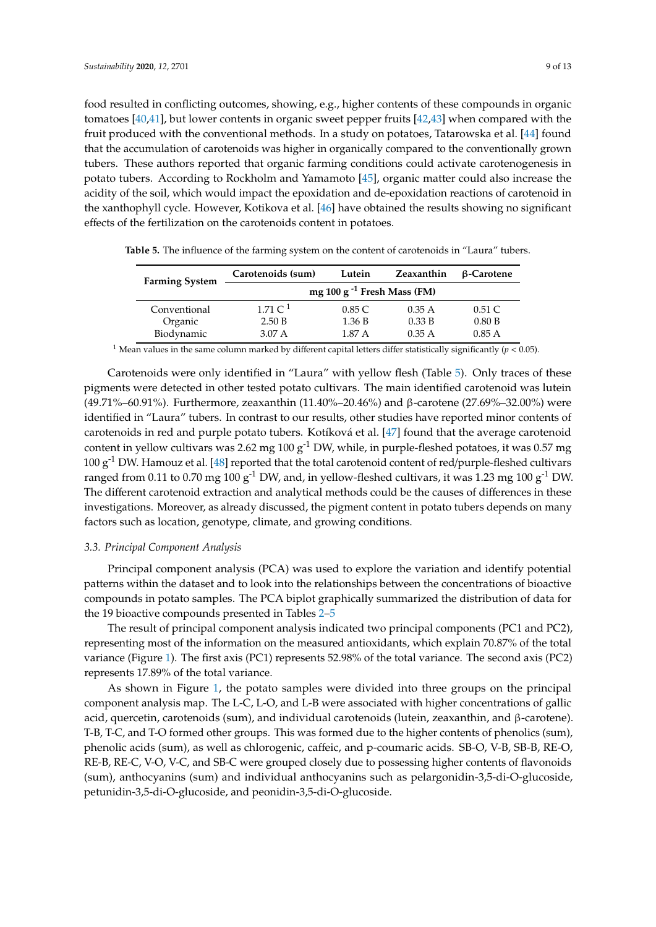food resulted in conflicting outcomes, showing, e.g., higher contents of these compounds in organic tomatoes [\[40,](#page-12-6)[41\]](#page-12-7), but lower contents in organic sweet pepper fruits [\[42,](#page-12-8)[43\]](#page-12-9) when compared with the fruit produced with the conventional methods. In a study on potatoes, Tatarowska et al. [\[44\]](#page-12-10) found that the accumulation of carotenoids was higher in organically compared to the conventionally grown tubers. These authors reported that organic farming conditions could activate carotenogenesis in potato tubers. According to Rockholm and Yamamoto [\[45\]](#page-12-11), organic matter could also increase the acidity of the soil, which would impact the epoxidation and de-epoxidation reactions of carotenoid in the xanthophyll cycle. However, Kotikova et al. [\[46\]](#page-12-12) have obtained the results showing no significant effects of the fertilization on the carotenoids content in potatoes.

| <b>Farming System</b> | Carotenoids (sum)                | Lutein | Zeaxanthin | β-Carotene |  |  |
|-----------------------|----------------------------------|--------|------------|------------|--|--|
|                       | mg 100 g $^{-1}$ Fresh Mass (FM) |        |            |            |  |  |
| Conventional          | 1.71 $C1$                        | 0.85C  | 0.35A      | $0.51\ C$  |  |  |
| Organic               | 2.50 B                           | 1.36 B | 0.33 B     | 0.80 B     |  |  |
| Biodynamic            | $3.07\,\mathrm{A}$               | 1.87 A | 0.35A      | 0.85A      |  |  |

<span id="page-8-0"></span>**Table 5.** The influence of the farming system on the content of carotenoids in "Laura" tubers.

<sup>1</sup> Mean values in the same column marked by different capital letters differ statistically significantly ( $p < 0.05$ ).

Carotenoids were only identified in "Laura" with yellow flesh (Table [5\)](#page-8-0). Only traces of these pigments were detected in other tested potato cultivars. The main identified carotenoid was lutein (49.71%–60.91%). Furthermore, zeaxanthin (11.40%–20.46%) and β-carotene (27.69%–32.00%) were identified in "Laura" tubers. In contrast to our results, other studies have reported minor contents of carotenoids in red and purple potato tubers. Kotíková et al. [\[47\]](#page-12-13) found that the average carotenoid content in yellow cultivars was 2.62 mg 100  $g^{-1}$  DW, while, in purple-fleshed potatoes, it was 0.57 mg  $100 \text{ g}^{-1}$  DW. Hamouz et al. [\[48\]](#page-12-14) reported that the total carotenoid content of red/purple-fleshed cultivars ranged from 0.11 to 0.70 mg 100  $g^{-1}$  DW, and, in yellow-fleshed cultivars, it was 1.23 mg 100  $g^{-1}$  DW. The different carotenoid extraction and analytical methods could be the causes of differences in these investigations. Moreover, as already discussed, the pigment content in potato tubers depends on many factors such as location, genotype, climate, and growing conditions.

#### *3.3. Principal Component Analysis*

Principal component analysis (PCA) was used to explore the variation and identify potential patterns within the dataset and to look into the relationships between the concentrations of bioactive compounds in potato samples. The PCA biplot graphically summarized the distribution of data for the 19 bioactive compounds presented in Tables [2](#page-5-0)[–5](#page-8-0)

The result of principal component analysis indicated two principal components (PC1 and PC2), representing most of the information on the measured antioxidants, which explain 70.87% of the total variance (Figure [1\)](#page-9-0). The first axis (PC1) represents 52.98% of the total variance. The second axis (PC2) represents 17.89% of the total variance.

As shown in Figure [1,](#page-9-0) the potato samples were divided into three groups on the principal component analysis map. The L-C, L-O, and L-B were associated with higher concentrations of gallic acid, quercetin, carotenoids (sum), and individual carotenoids (lutein, zeaxanthin, and β-carotene). T-B, T-C, and T-O formed other groups. This was formed due to the higher contents of phenolics (sum), phenolic acids (sum), as well as chlorogenic, caffeic, and p-coumaric acids. SB-O, V-B, SB-B, RE-O, RE-B, RE-C, V-O, V-C, and SB-C were grouped closely due to possessing higher contents of flavonoids (sum), anthocyanins (sum) and individual anthocyanins such as pelargonidin-3,5-di-O-glucoside, petunidin-3,5-di-O-glucoside, and peonidin-3,5-di-O-glucoside.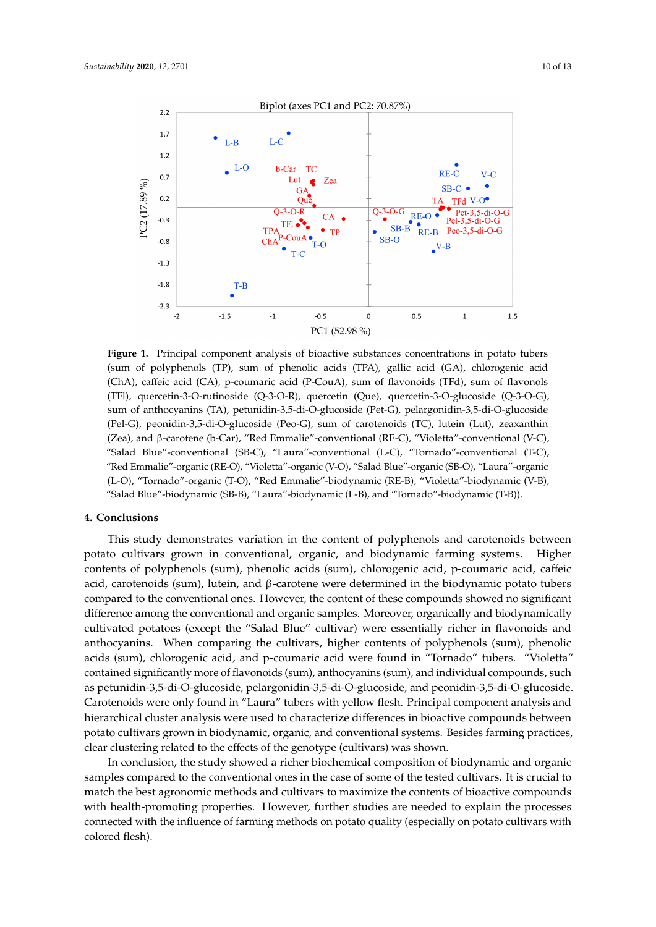<span id="page-9-0"></span>

**Figure 1.** Principal component analysis of bioactive substances concentrations in potato tubers (sum of polyphenols (TP), sum of phenolic acids (TPA), gallic acid (GA), chlorogenic acid (ChA), caffeic acid (CA), p-coumaric acid (P-CouA), sum of flavonoids (TFd), sum of flavonols (TFl), quercetin-3-O-rutinoside (Q-3-O-R), quercetin (Que), quercetin-3-O-glucoside (Q-3-O-G), sum of anthocyanins (TA), petunidin-3,5-di-O-glucoside (Pet-G), pelargonidin-3,5-di-O-glucoside (Pel-G), peonidin-3,5-di-O-glucoside (Peo-G), sum of carotenoids (TC), lutein (Lut), zeaxanthin (Zea), and β-carotene (b-Car), "Red Emmalie"-conventional (RE-C), "Violetta"-conventional (V-C), "Salad Blue"-conventional (SB-C), "Laura"-conventional (L-C), "Tornado"-conventional (T-C), "Red Emmalie"-organic (RE-O), "Violetta"-organic (V-O), "Salad Blue"-organic (SB-O), "Laura"-organic (L-O), "Tornado"-organic (T-O), "Red Emmalie"-biodynamic (RE-B), "Violetta"-biodynamic (V-B), "Salad Blue"-biodynamic (SB-B), "Laura"-biodynamic (L-B), and "Tornado"-biodynamic (T-B)).

#### **4. Conclusions**

This study demonstrates variation in the content of polyphenols and carotenoids between potato cultivars grown in conventional, organic, and biodynamic farming systems. Higher contents of polyphenols (sum), phenolic acids (sum), chlorogenic acid, p-coumaric acid, caffeic acid, carotenoids (sum), lutein, and β-carotene were determined in the biodynamic potato tubers compared to the conventional ones. However, the content of these compounds showed no significant difference among the conventional and organic samples. Moreover, organically and biodynamically cultivated potatoes (except the "Salad Blue" cultivar) were essentially richer in flavonoids and anthocyanins. When comparing the cultivars, higher contents of polyphenols (sum), phenolic acids (sum), chlorogenic acid, and p-coumaric acid were found in "Tornado" tubers. "Violetta" contained significantly more of flavonoids (sum), anthocyanins (sum), and individual compounds, such as petunidin-3,5-di-O-glucoside, pelargonidin-3,5-di-O-glucoside, and peonidin-3,5-di-O-glucoside. Carotenoids were only found in "Laura" tubers with yellow flesh. Principal component analysis and hierarchical cluster analysis were used to characterize differences in bioactive compounds between potato cultivars grown in biodynamic, organic, and conventional systems. Besides farming practices, clear clustering related to the effects of the genotype (cultivars) was shown.

In conclusion, the study showed a richer biochemical composition of biodynamic and organic samples compared to the conventional ones in the case of some of the tested cultivars. It is crucial to match the best agronomic methods and cultivars to maximize the contents of bioactive compounds with health-promoting properties. However, further studies are needed to explain the processes connected with the influence of farming methods on potato quality (especially on potato cultivars with colored flesh).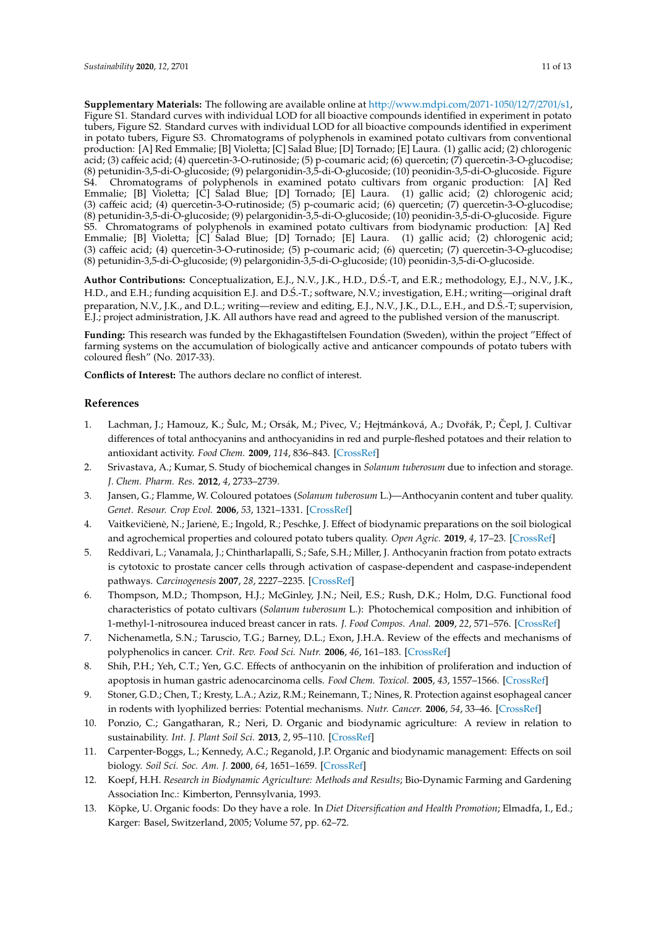**Supplementary Materials:** The following are available online at http://[www.mdpi.com](http://www.mdpi.com/2071-1050/12/7/2701/s1)/2071-1050/12/7/2701/s1, Figure S1. Standard curves with individual LOD for all bioactive compounds identified in experiment in potato tubers, Figure S2. Standard curves with individual LOD for all bioactive compounds identified in experiment in potato tubers, Figure S3. Chromatograms of polyphenols in examined potato cultivars from conventional production: [A] Red Emmalie; [B] Violetta; [C] Salad Blue; [D] Tornado; [E] Laura. (1) gallic acid; (2) chlorogenic acid; (3) caffeic acid; (4) quercetin-3-O-rutinoside; (5) p-coumaric acid; (6) quercetin; (7) quercetin-3-O-glucodise; (8) petunidin-3,5-di-O-glucoside; (9) pelargonidin-3,5-di-O-glucoside; (10) peonidin-3,5-di-O-glucoside. Figure S4. Chromatograms of polyphenols in examined potato cultivars from organic production: [A] Red Emmalie; [B] Violetta; [C] Salad Blue; [D] Tornado; [E] Laura. (1) gallic acid; (2) chlorogenic acid; (3) caffeic acid; (4) quercetin-3-O-rutinoside; (5) p-coumaric acid; (6) quercetin; (7) quercetin-3-O-glucodise; (8) petunidin-3,5-di-O-glucoside; (9) pelargonidin-3,5-di-O-glucoside; (10) peonidin-3,5-di-O-glucoside. Figure S5. Chromatograms of polyphenols in examined potato cultivars from biodynamic production: [A] Red Emmalie; [B] Violetta; [C] Salad Blue; [D] Tornado; [E] Laura. (1) gallic acid; (2) chlorogenic acid; (3) caffeic acid; (4) quercetin-3-O-rutinoside; (5) p-coumaric acid; (6) quercetin; (7) quercetin-3-O-glucodise; (8) petunidin-3,5-di-O-glucoside; (9) pelargonidin-3,5-di-O-glucoside; (10) peonidin-3,5-di-O-glucoside.

**Author Contributions:** Conceptualization, E.J., N.V., J.K., H.D., D.S.-T, and E.R.; methodology, E.J., N.V., J.K., ´ H.D., and E.H.; funding acquisition E.J. and D.S.-T.; software, N.V.; investigation, E.H.; writing—original draft ´ preparation, N.V., J.K., and D.L.; writing—review and editing, E.J., N.V., J.K., D.L., E.H., and D.Ś.-T; supervision, E.J.; project administration, J.K. All authors have read and agreed to the published version of the manuscript.

**Funding:** This research was funded by the Ekhagastiftelsen Foundation (Sweden), within the project "Effect of farming systems on the accumulation of biologically active and anticancer compounds of potato tubers with coloured flesh" (No. 2017-33).

**Conflicts of Interest:** The authors declare no conflict of interest.

#### **References**

- <span id="page-10-0"></span>1. Lachman, J.; Hamouz, K.; Šulc, M.; Orsák, M.; Pivec, V.; Hejtmánková, A.; Dvořák, P.; Čepl, J. Cultivar differences of total anthocyanins and anthocyanidins in red and purple-fleshed potatoes and their relation to antioxidant activity. *Food Chem.* **2009**, *114*, 836–843. [\[CrossRef\]](http://dx.doi.org/10.1016/j.foodchem.2008.10.029)
- <span id="page-10-1"></span>2. Srivastava, A.; Kumar, S. Study of biochemical changes in *Solanum tuberosum* due to infection and storage. *J. Chem. Pharm. Res.* **2012**, *4*, 2733–2739.
- <span id="page-10-2"></span>3. Jansen, G.; Flamme, W. Coloured potatoes (*Solanum tuberosum* L.)—Anthocyanin content and tuber quality. *Genet. Resour. Crop Evol.* **2006**, *53*, 1321–1331. [\[CrossRef\]](http://dx.doi.org/10.1007/s10722-005-3880-2)
- <span id="page-10-3"></span>4. Vaitkevičienė, N.; Jarienė, E.; Ingold, R.; Peschke, J. Effect of biodynamic preparations on the soil biological and agrochemical properties and coloured potato tubers quality. *Open Agric.* **2019**, *4*, 17–23. [\[CrossRef\]](http://dx.doi.org/10.1515/opag-2019-0002)
- <span id="page-10-4"></span>5. Reddivari, L.; Vanamala, J.; Chintharlapalli, S.; Safe, S.H.; Miller, J. Anthocyanin fraction from potato extracts is cytotoxic to prostate cancer cells through activation of caspase-dependent and caspase-independent pathways. *Carcinogenesis* **2007**, *28*, 2227–2235. [\[CrossRef\]](http://dx.doi.org/10.1093/carcin/bgm117)
- <span id="page-10-5"></span>6. Thompson, M.D.; Thompson, H.J.; McGinley, J.N.; Neil, E.S.; Rush, D.K.; Holm, D.G. Functional food characteristics of potato cultivars (*Solanum tuberosum* L.): Photochemical composition and inhibition of 1-methyl-1-nitrosourea induced breast cancer in rats. *J. Food Compos. Anal.* **2009**, *22*, 571–576. [\[CrossRef\]](http://dx.doi.org/10.1016/j.jfca.2008.09.002)
- <span id="page-10-6"></span>7. Nichenametla, S.N.; Taruscio, T.G.; Barney, D.L.; Exon, J.H.A. Review of the effects and mechanisms of polyphenolics in cancer. *Crit. Rev. Food Sci. Nutr.* **2006**, *46*, 161–183. [\[CrossRef\]](http://dx.doi.org/10.1080/10408390591000541)
- <span id="page-10-7"></span>8. Shih, P.H.; Yeh, C.T.; Yen, G.C. Effects of anthocyanin on the inhibition of proliferation and induction of apoptosis in human gastric adenocarcinoma cells. *Food Chem. Toxicol.* **2005**, *43*, 1557–1566. [\[CrossRef\]](http://dx.doi.org/10.1016/j.fct.2005.05.001)
- <span id="page-10-8"></span>9. Stoner, G.D.; Chen, T.; Kresty, L.A.; Aziz, R.M.; Reinemann, T.; Nines, R. Protection against esophageal cancer in rodents with lyophilized berries: Potential mechanisms. *Nutr. Cancer.* **2006**, *54*, 33–46. [\[CrossRef\]](http://dx.doi.org/10.1207/s15327914nc5401_5)
- <span id="page-10-9"></span>10. Ponzio, C.; Gangatharan, R.; Neri, D. Organic and biodynamic agriculture: A review in relation to sustainability. *Int. J. Plant Soil Sci.* **2013**, *2*, 95–110. [\[CrossRef\]](http://dx.doi.org/10.9734/IJPSS/2013/4493)
- <span id="page-10-10"></span>11. Carpenter-Boggs, L.; Kennedy, A.C.; Reganold, J.P. Organic and biodynamic management: Effects on soil biology. *Soil Sci. Soc. Am. J.* **2000**, *64*, 1651–1659. [\[CrossRef\]](http://dx.doi.org/10.2136/sssaj2000.6451651x)
- <span id="page-10-11"></span>12. Koepf, H.H. *Research in Biodynamic Agriculture: Methods and Results*; Bio-Dynamic Farming and Gardening Association Inc.: Kimberton, Pennsylvania, 1993.
- <span id="page-10-12"></span>13. Köpke, U. Organic foods: Do they have a role. In *Diet Diversification and Health Promotion*; Elmadfa, I., Ed.; Karger: Basel, Switzerland, 2005; Volume 57, pp. 62–72.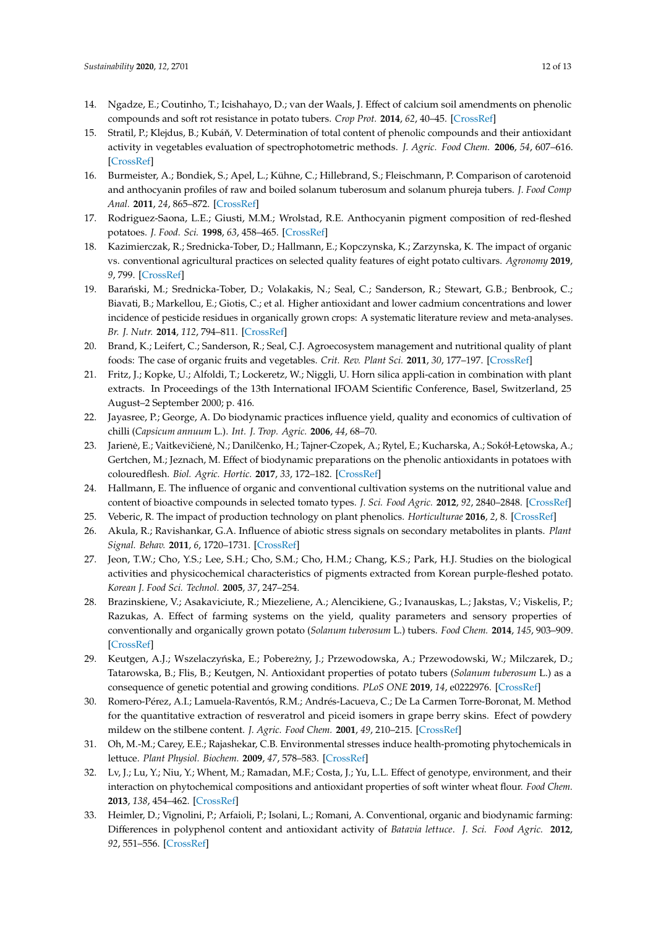- <span id="page-11-0"></span>14. Ngadze, E.; Coutinho, T.; Icishahayo, D.; van der Waals, J. Effect of calcium soil amendments on phenolic compounds and soft rot resistance in potato tubers. *Crop Prot.* **2014**, *62*, 40–45. [\[CrossRef\]](http://dx.doi.org/10.1016/j.cropro.2014.04.009)
- <span id="page-11-1"></span>15. Stratil, P.; Klejdus, B.; Kubáň, V. Determination of total content of phenolic compounds and their antioxidant activity in vegetables evaluation of spectrophotometric methods. *J. Agric. Food Chem.* **2006**, *54*, 607–616. [\[CrossRef\]](http://dx.doi.org/10.1021/jf052334j)
- 16. Burmeister, A.; Bondiek, S.; Apel, L.; Kühne, C.; Hillebrand, S.; Fleischmann, P. Comparison of carotenoid and anthocyanin profiles of raw and boiled solanum tuberosum and solanum phureja tubers. *J. Food Comp Anal.* **2011**, *24*, 865–872. [\[CrossRef\]](http://dx.doi.org/10.1016/j.jfca.2011.03.006)
- <span id="page-11-2"></span>17. Rodriguez-Saona, L.E.; Giusti, M.M.; Wrolstad, R.E. Anthocyanin pigment composition of red-fleshed potatoes. *J. Food. Sci.* **1998**, *63*, 458–465. [\[CrossRef\]](http://dx.doi.org/10.1111/j.1365-2621.1998.tb15764.x)
- <span id="page-11-3"></span>18. Kazimierczak, R.; Srednicka-Tober, D.; Hallmann, E.; Kopczynska, K.; Zarzynska, K. The impact of organic vs. conventional agricultural practices on selected quality features of eight potato cultivars. *Agronomy* **2019**, *9*, 799. [\[CrossRef\]](http://dx.doi.org/10.3390/agronomy9120799)
- 19. Barański, M.; Srednicka-Tober, D.; Volakakis, N.; Seal, C.; Sanderson, R.; Stewart, G.B.; Benbrook, C.; Biavati, B.; Markellou, E.; Giotis, C.; et al. Higher antioxidant and lower cadmium concentrations and lower incidence of pesticide residues in organically grown crops: A systematic literature review and meta-analyses. *Br. J. Nutr.* **2014**, *112*, 794–811. [\[CrossRef\]](http://dx.doi.org/10.1017/S0007114514001366)
- 20. Brand, K.; Leifert, C.; Sanderson, R.; Seal, C.J. Agroecosystem management and nutritional quality of plant foods: The case of organic fruits and vegetables. *Crit. Rev. Plant Sci.* **2011**, *30*, 177–197. [\[CrossRef\]](http://dx.doi.org/10.1080/07352689.2011.554417)
- 21. Fritz, J.; Kopke, U.; Alfoldi, T.; Lockeretz, W.; Niggli, U. Horn silica appli-cation in combination with plant extracts. In Proceedings of the 13th International IFOAM Scientific Conference, Basel, Switzerland, 25 August–2 September 2000; p. 416.
- <span id="page-11-4"></span>22. Jayasree, P.; George, A. Do biodynamic practices influence yield, quality and economics of cultivation of chilli (*Capsicum annuum* L.). *Int. J. Trop. Agric.* **2006**, *44*, 68–70.
- <span id="page-11-5"></span>23. Jarienė, E.; Vaitkevičienė, N.; Danilčenko, H.; Tajner-Czopek, A.; Rytel, E.; Kucharska, A.; Sokół-Łętowska, A.; Gertchen, M.; Jeznach, M. Effect of biodynamic preparations on the phenolic antioxidants in potatoes with colouredflesh. *Biol. Agric. Hortic.* **2017**, *33*, 172–182. [\[CrossRef\]](http://dx.doi.org/10.1080/01448765.2017.1313174)
- <span id="page-11-6"></span>24. Hallmann, E. The influence of organic and conventional cultivation systems on the nutritional value and content of bioactive compounds in selected tomato types. *J. Sci. Food Agric.* **2012**, *92*, 2840–2848. [\[CrossRef\]](http://dx.doi.org/10.1002/jsfa.5617)
- <span id="page-11-8"></span><span id="page-11-7"></span>25. Veberic, R. The impact of production technology on plant phenolics. *Horticulturae* **2016**, *2*, 8. [\[CrossRef\]](http://dx.doi.org/10.3390/horticulturae2030008)
- 26. Akula, R.; Ravishankar, G.A. Influence of abiotic stress signals on secondary metabolites in plants. *Plant Signal. Behav.* **2011**, *6*, 1720–1731. [\[CrossRef\]](http://dx.doi.org/10.4161/psb.6.11.17613)
- <span id="page-11-9"></span>27. Jeon, T.W.; Cho, Y.S.; Lee, S.H.; Cho, S.M.; Cho, H.M.; Chang, K.S.; Park, H.J. Studies on the biological activities and physicochemical characteristics of pigments extracted from Korean purple-fleshed potato. *Korean J. Food Sci. Technol.* **2005**, *37*, 247–254.
- <span id="page-11-10"></span>28. Brazinskiene, V.; Asakaviciute, R.; Miezeliene, A.; Alencikiene, G.; Ivanauskas, L.; Jakstas, V.; Viskelis, P.; Razukas, A. Effect of farming systems on the yield, quality parameters and sensory properties of conventionally and organically grown potato (*Solanum tuberosum* L.) tubers. *Food Chem.* **2014**, *145*, 903–909. [\[CrossRef\]](http://dx.doi.org/10.1016/j.foodchem.2013.09.011)
- <span id="page-11-11"></span>29. Keutgen, A.J.; Wszelaczyńska, E.; Pobereżny, J.; Przewodowska, A.; Przewodowski, W.; Milczarek, D.; Tatarowska, B.; Flis, B.; Keutgen, N. Antioxidant properties of potato tubers (*Solanum tuberosum* L.) as a consequence of genetic potential and growing conditions. *PLoS ONE* **2019**, *14*, e0222976. [\[CrossRef\]](http://dx.doi.org/10.1371/journal.pone.0222976)
- <span id="page-11-12"></span>30. Romero-Pérez, A.I.; Lamuela-Raventós, R.M.; Andrés-Lacueva, C.; De La Carmen Torre-Boronat, M. Method for the quantitative extraction of resveratrol and piceid isomers in grape berry skins. Efect of powdery mildew on the stilbene content. *J. Agric. Food Chem.* **2001**, *49*, 210–215. [\[CrossRef\]](http://dx.doi.org/10.1021/jf000745o)
- <span id="page-11-13"></span>31. Oh, M.-M.; Carey, E.E.; Rajashekar, C.B. Environmental stresses induce health-promoting phytochemicals in lettuce. *Plant Physiol. Biochem.* **2009**, *47*, 578–583. [\[CrossRef\]](http://dx.doi.org/10.1016/j.plaphy.2009.02.008)
- <span id="page-11-14"></span>32. Lv, J.; Lu, Y.; Niu, Y.; Whent, M.; Ramadan, M.F.; Costa, J.; Yu, L.L. Effect of genotype, environment, and their interaction on phytochemical compositions and antioxidant properties of soft winter wheat flour. *Food Chem.* **2013**, *138*, 454–462. [\[CrossRef\]](http://dx.doi.org/10.1016/j.foodchem.2012.10.069)
- <span id="page-11-15"></span>33. Heimler, D.; Vignolini, P.; Arfaioli, P.; Isolani, L.; Romani, A. Conventional, organic and biodynamic farming: Differences in polyphenol content and antioxidant activity of *Batavia lettuce*. *J. Sci. Food Agric.* **2012**, *92*, 551–556. [\[CrossRef\]](http://dx.doi.org/10.1002/jsfa.4605)